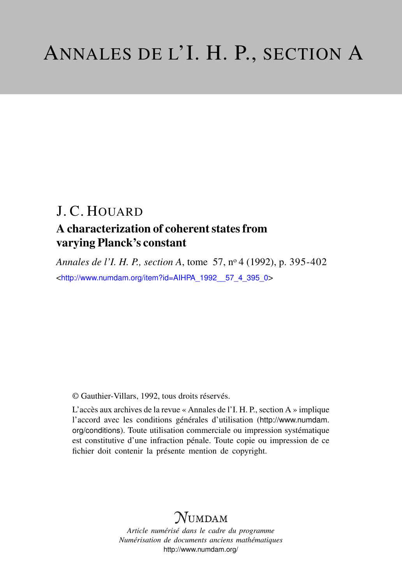# J. C. HOUARD

# A characterization of coherent states from varying Planck's constant

*Annales de l'I. H. P., section A*, tome 57, n<sup>o</sup> 4 (1992), p. 395-402 <[http://www.numdam.org/item?id=AIHPA\\_1992\\_\\_57\\_4\\_395\\_0](http://www.numdam.org/item?id=AIHPA_1992__57_4_395_0)>

© Gauthier-Villars, 1992, tous droits réservés.

L'accès aux archives de la revue « Annales de l'I. H. P., section A » implique l'accord avec les conditions générales d'utilisation ([http://www.numdam.](http://www.numdam.org/conditions) [org/conditions](http://www.numdam.org/conditions)). Toute utilisation commerciale ou impression systématique est constitutive d'une infraction pénale. Toute copie ou impression de ce fichier doit contenir la présente mention de copyright.

# **NUMDAM**

*Article numérisé dans le cadre du programme Numérisation de documents anciens mathématiques* <http://www.numdam.org/>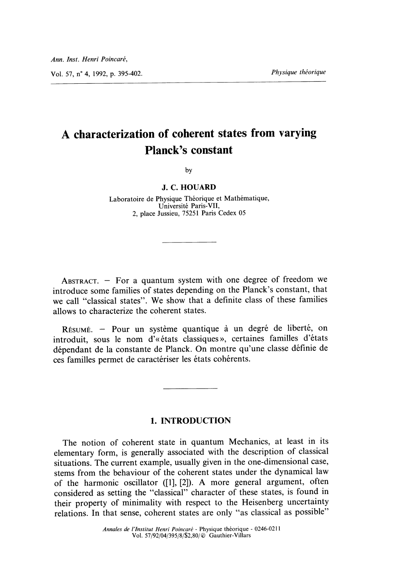Vol. 57, n° 4, 1992, p. 395-402. <br> *Physique théorique* 

# A characterization of coherent states from varying Planck's constant

bv

#### J. C. HOUARD

Laboratoire de Physique Theorique et Mathematique, Universite Paris-VII, 2, place Jussieu, 75251 Paris Cedex 05

ABSTRACT.  $-$  For a quantum system with one degree of freedom we introduce some families of states depending on the Planck's constant, that we call "classical states". We show that a definite class of these families allows to characterize the coherent states.

RÉSUMÉ. - Pour un système quantique à un degré de liberté, on introduit, sous Ie nom d'« etats classiques », certaines familles d'etats dependant de la constante de Planck. On montre qu'une classe definie de ces familles permet de caractériser les états cohérents.

# 1. INTRODUCTION

The notion of coherent state in quantum Mechanics, at least in its elementary form, is generally associated with the description of classical situations. The current example, usually given in the one-dimensional case, stems from the behaviour of the coherent states under the dynamical law of the harmonic oscillator ([1], [2]). A more general argument, often considered as setting the "classical" character of these states, is found in their property of minimality with respect to the Heisenberg uncertainty relations. In that sense, coherent states are only "as classical as possible"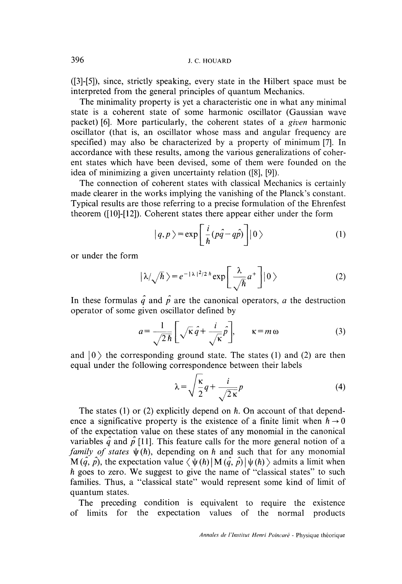([3]-[5]), since, strictly speaking, every state in the Hilbert space must be interpreted from the general principles of quantum Mechanics.

The minimality property is yet a characteristic one in what any minimal state is a coherent state of some harmonic oscillator (Gaussian wave packet) [6]. More particularly, the coherent states of a given harmonic oscillator (that is, an oscillator whose mass and angular frequency are specified) may also be characterized by a property of minimum [7]. In accordance with these results, among the various generalizations of coherent states which have been devised, some of them were founded on the idea of minimizing a given uncertainty relation ([8], [9]).

The connection of coherent states with classical Mechanics is certainly made clearer in the works implying the vanishing of the Planck's constant. Typical results are those referring to a precise formulation of the Ehrenfest theorem ([10]-[12]). Coherent states there appear either under the form

$$
|q, p\rangle = \exp\left[\frac{i}{\hbar}(p\hat{q} - q\hat{p})\right]|0\rangle \tag{1}
$$

or under the form

$$
|\lambda/\sqrt{\hbar}\,\rangle = e^{-|\lambda|^2/2\hbar}\exp\left[\frac{\lambda}{\sqrt{\hbar}}a^+\right]|0\,\rangle\tag{2}
$$

In these formulas  $\hat{q}$  and  $\hat{p}$  are the canonical operators, a the destruction operator of some given oscillator defined by

$$
a = \frac{1}{\sqrt{2\hbar}} \left[ \sqrt{\kappa} \hat{q} + \frac{i}{\sqrt{\kappa}} \hat{p} \right], \qquad \kappa = m \,\omega \tag{3}
$$

and  $|0\rangle$  the corresponding ground state. The states (1) and (2) are then equal under the following correspondence between their labels

$$
\lambda = \sqrt{\frac{\kappa}{2}} q + \frac{i}{\sqrt{2\kappa}} p \tag{4}
$$

The states (1) or (2) explicitly depend on *. On account of that depend*ence a significative property is the existence of a finite limit when  $\hbar \rightarrow 0$ of the expectation value on these states of any monomial in the canonical variables  $\hat{q}$  and  $\hat{p}$  [11]. This feature calls for the more general notion of a family of states  $\psi(h)$ , depending on h and such that for any monomial  $M(\hat{q}, \hat{p})$ , the expectation value  $\langle \psi(h) | M(\hat{q}, \hat{p}) | \psi(h) \rangle$  admits a limit when  $h$  goes to zero. We suggest to give the name of "classical states" to such families. Thus, a "classical state" would represent some kind of limit of quantum states.

The preceding condition is equivalent to require the existence of limits for the expectation values of the normal products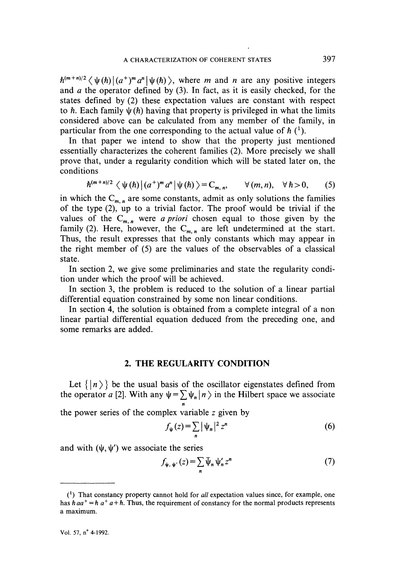$\hbar^{(m+n)/2} \langle \psi(\hbar) | (a^+)^m a^n | \psi(\hbar) \rangle$ , where m and n are any positive integers and  $a$  the operator defined by  $(3)$ . In fact, as it is easily checked, for the states defined by (2) these expectation values are constant with respect to  $h$ . Each family  $\psi(h)$  having that property is privileged in what the limits considered above can be calculated from any member of the family, in particular from the one corresponding to the actual value of  $\hbar$  (<sup>1</sup>).

In that paper we intend to show that the property just mentioned essentially characterizes the coherent families (2). More precisely we shall prove that, under a regularity condition which will be stated later on, the conditions

$$
\hbar^{(m+n)/2} \langle \psi(\hbar) | (a^+)^m a^n | \psi(\hbar) \rangle = C_{m,n}, \qquad \forall (m,n), \quad \forall \hbar > 0, \qquad (5)
$$

in which the  $C_{m,n}$  are some constants, admit as only solutions the families of the type (2), up to a trivial factor. The proof would be trivial if the values of the  $C_{m,n}$  were *a priori* chosen equal to those given by the family (2). Here, however, the  $C_{m,n}$  are left undetermined at the start. Thus, the result expresses that the only constants which may appear in the right member of (5) are the values of the observables of a classical state.

In section 2, we give some preliminaries and state the regularity condition under which the proof will be achieved.

In section 3, the problem is reduced to the solution of a linear partial differential equation constrained by some non linear conditions.

In section 4, the solution is obtained from a complete integral of a non linear partial differential equation deduced from the preceding one, and some remarks are added.

## 2. THE REGULARITY CONDITION

Let  $\{|n\rangle\}$  be the usual basis of the oscillator eigenstates defined from the operator a [2]. With any  $\psi = \sum \psi_n |n \rangle$  in the Hilbert space we associate n

the power series of the complex variable  $z$  given by

$$
f_{\psi}(z) = \sum_{n} |\psi_n|^2 z^n
$$
 (6)

and with  $(\psi, \psi')$  we associate the series

$$
f_{\psi, \psi'}(z) = \sum_{n} \bar{\psi}_n \psi'_n z^n \tag{7}
$$

 $(1)$  That constancy property cannot hold for *all* expectation values since, for example, one has  $\hbar a a^+ = \hbar a^+ a + \hbar$ . Thus, the requirement of constancy for the normal products represents a maximum.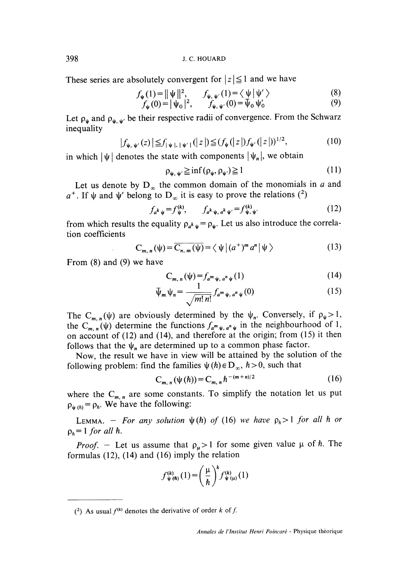These series are absolutely convergent for  $|z| \leq 1$  and we have

$$
f_{\psi}(1) = ||\psi||^2, \qquad f_{\psi, \psi'}(1) = \langle \psi | \psi' \rangle \tag{8}
$$

$$
f_{\psi}(0) = |\psi_0|^2, \qquad f_{\psi, \psi'}(0) = \psi_0 \psi'_0 \tag{9}
$$

Let  $\rho_{\psi}$  and  $\rho_{\psi, \psi'}$  be their respective radii of convergence. From the Schwarz inequality

$$
|f_{\psi,\,\psi'}(z)| \leq f_{|\psi|, |\psi'|}(|z|) \leq (f_{\psi}(|z|)f_{\psi'}(|z|))^{1/2},\tag{10}
$$

in which  $|\psi|$  denotes the state with components  $|\psi_n|$ , we obtain

$$
\rho_{\psi, \psi'} \ge \inf (\rho_{\psi}, \rho_{\psi'}) \ge 1 \tag{11}
$$

Let us denote by  $D_{\infty}$  the common domain of the monomials in a and  $a^+$ . If  $\psi$  and  $\psi'$  belong to  $D_{\infty}$  it is easy to prove the relations (<sup>2</sup>)

$$
f_{a^k \psi} = f_{\psi}^{(k)}, \qquad f_{a^k \psi, a^k \psi'} = f_{\psi, \psi'}^{(k)} \tag{12}
$$

from which results the equality  $\rho_{a^k} \psi = \rho_{\psi}$ . Let us also introduce the correlation coefficients

$$
C_{m,n}(\psi) = \overline{C_{n,m}(\psi)} = \langle \psi | (a^+)^m a^n | \psi \rangle \tag{13}
$$

From (8) and (9) we have

$$
C_{m, n}(\psi) = f_{a^m \psi, a^n \psi}(1) \tag{14}
$$

$$
\overline{\psi}_m \psi_n = \frac{1}{\sqrt{m! \, n!}} f_{a^m \psi, \, a^n \psi}(0) \tag{15}
$$

The C<sub>m</sub>  $_{n}(\psi)$  are obviously determined by the  $\psi_{n}$ . Conversely, if  $\rho_{\psi} > 1$ , the C<sub>m, n</sub>( $\psi$ ) determine the functions  $f_{a^m \psi, a^n \psi}$  in the neighbourhood of 1, on account of  $(12)$  and  $(14)$ , and therefore at the origin; from  $(15)$  it then follows that the  $\psi_n$  are determined up to a common phase factor.

Now, the result we have in view will be attained by the solution of the following problem: find the families  $\psi(h) \in D_{\infty}$ ,  $h > 0$ , such that

$$
C_{m,n}(\psi(\hbar)) = C_{m,n}\hbar^{-(m+n)/2} \tag{16}
$$

where the  $C_{m,n}$  are some constants. To simplify the notation let us put  $\rho_{\psi(h)} = \rho_h$ . We have the following:

LEMMA. - For any solution  $\psi(h)$  of (16) we have  $\rho_h > 1$  for all h or  $p_h = 1$  for all  $h$ .

*Proof.* - Let us assume that  $\rho_{\mu} > 1$  for some given value  $\mu$  of h. The formulas  $(12)$ ,  $(14)$  and  $(16)$  imply the relation

$$
f_{\psi(\hbar)}^{(k)}(1) = \left(\frac{\mu}{\hbar}\right)^k f_{\psi(\mu)}^{(k)}(1)
$$

(2) As usual  $f^{(k)}$  denotes the derivative of order k of f.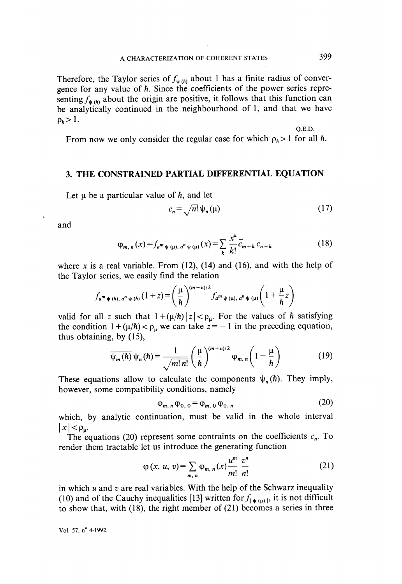Therefore, the Taylor series of  $f_{\psi(h)}$  about 1 has a finite radius of convergence for any value of h. Since the coefficients of the power series representing  $f_{\psi(h)}$  about the origin are positive, it follows that this function can be analytically continued in the neighbourhood of 1, and that we have  $\rho_h > 1$ .

From now we only consider the regular case for which  $\rho_h > 1$  for all  $\hbar$ .

## 3. THE CONSTRAINED PARTIAL DIFFERENTIAL EQUATION

Let  $\mu$  be a particular value of  $\hbar$ , and let

$$
c_n = \sqrt{n!} \, \psi_n(\mu) \tag{17}
$$

and

$$
\varphi_{m,\,n}(x) = f_{a^m \psi(\mu),\,a^n \psi(\mu)}(x) = \sum_{k} \frac{x^k}{k!} \overline{c}_{m+k} \, c_{n+k} \tag{18}
$$

where x is a real variable. From  $(12)$ ,  $(14)$  and  $(16)$ , and with the help of the Taylor series, we easily find the relation

$$
f_{a^m \psi(h), a^n \psi(h)}(1+z) = \left(\frac{\mu}{\hbar}\right)^{(m+n)/2} f_{a^m \psi(\mu), a^n \psi(\mu)}\left(1 + \frac{\mu}{\hbar}z\right)
$$

valid for all z such that  $1 + (\mu/h) |z| < \rho_{\mu}$ . For the values of h satisfying the condition  $1 + (\mu/h) < \rho_\mu$  we can take  $z = -1$  in the preceding equation, thus obtaining, by  $(15)$ ,

$$
\overline{\psi_m(\hbar)}\,\psi_n(\hbar) = \frac{1}{\sqrt{m!\,n!}}\left(\frac{\mu}{\hbar}\right)^{(m+n)/2}\varphi_{m,\,n}\left(1-\frac{\mu}{\hbar}\right) \tag{19}
$$

These equations allow to calculate the components  $\psi_n(h)$ . They imply, however, some compatibility conditions, namely

$$
\varphi_{m,\,n}\,\varphi_{0,\,0} = \varphi_{m,\,0}\,\varphi_{0,\,n} \tag{20}
$$

which, by analytic continuation, must be valid in the whole interval  $|x| < \rho_{\mathbf{u}}$ .

The equations (20) represent some contraints on the coefficients  $c_n$ . To render them tractable let us introduce the generating function

$$
\varphi(x, u, v) = \sum_{m, n} \varphi_{m, n}(x) \frac{u^m}{m!} \frac{v^n}{n!}
$$
 (21)

in which  $u$  and  $v$  are real variables. With the help of the Schwarz inequality (10) and of the Cauchy inequalities [13] written for  $f_{\psi(\mu)}$ , it is not difficult to show that, with  $(18)$ , the right member of  $(21)$  becomes a series in three

Vol. 57, n° 4-1992.

Q.E.D.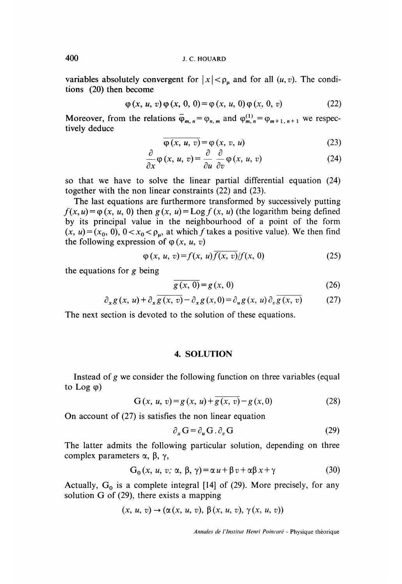variables absolutely convergent for  $|x| < \rho$  and for all  $(u, v)$ . The conditions (20) then become

$$
\varphi(x, u, v)\varphi(x, 0, 0) = \varphi(x, u, 0)\varphi(x, 0, v) \tag{22}
$$

Moreover, from the relations  $\overline{\varphi}_{m,n} = \varphi_{n,m}$  and  $\varphi_{m,n}^{(1)} = \varphi_{m+1,n+1}$  we respectively deduce

$$
\overline{\varphi(x, u, v)} = \varphi(x, v, u) \tag{23}
$$

$$
\frac{\partial}{\partial x}\varphi(x, u, v) = \frac{\partial}{\partial u}\frac{\partial}{\partial v}\varphi(x, u, v) \tag{24}
$$

so that we have to solve the linear partial differential equation (24) together with the non linear constraints (22) and (23).

The last equations are furthermore transformed by successively putting  $f(x, u) = \varphi(x, u, 0)$  then  $g(x, u) = \text{Log } f(x, u)$  (the logarithm being defined by its principal value in the neighbourhood of a point of the form  $(x, u)=(x_0, 0), 0 < x_0 < \rho_\mu$ , at which f takes a positive value). We then find the following expression of  $\varphi$  (x, u, v)

$$
\varphi(x, u, v) = f(x, u) \overline{f(x, v)} / f(x, 0) \tag{25}
$$

the equations for  $g$  being

$$
\overline{g(x, 0)} = g(x, 0) \tag{26}
$$

$$
\partial_x g(x, u) + \partial_x \overline{g(x, v)} - \partial_x g(x, 0) = \partial_u g(x, u) \partial_v \overline{g(x, v)}
$$
(27)

The next section is devoted to the solution of these equations.

### 4. SOLUTION

Instead of  $g$  we consider the following function on three variables (equal to Log  $\varphi$ )

$$
G(x, u, v) = g(x, u) + \overline{g(x, v)} - g(x, 0)
$$
 (28)

On account of (27) is satisfies the non linear equation

$$
\partial_x \mathbf{G} = \partial_u \mathbf{G} \cdot \partial_v \mathbf{G} \tag{29}
$$

The latter admits the following particular solution, depending on three complex parameters  $\alpha$ ,  $\beta$ ,  $\gamma$ ,

$$
G_0(x, u, v; \alpha, \beta, \gamma) = \alpha u + \beta v + \alpha \beta x + \gamma
$$
 (30)

Actually,  $G_0$  is a complete integral [14] of (29). More precisely, for any solution G of (29), there exists a mapping

$$
(x, u, v) \rightarrow (\alpha(x, u, v), \beta(x, u, v), \gamma(x, u, v))
$$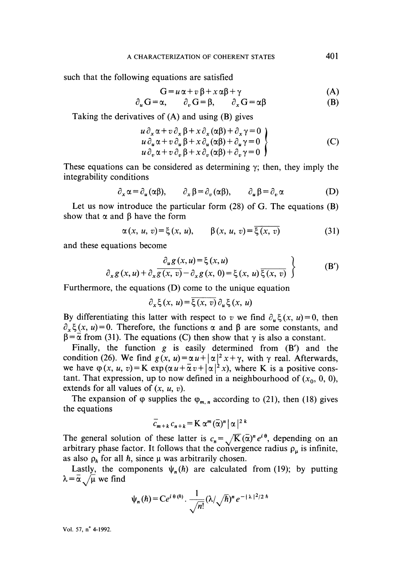such that the following equations are satisfied

$$
G = u \alpha + v \beta + x \alpha \beta + \gamma \tag{A}
$$

$$
\partial_u \mathbf{G} = \alpha, \qquad \partial_v \mathbf{G} = \beta, \qquad \partial_x \mathbf{G} = \alpha \beta \tag{B}
$$

Taking the derivatives of (A) and using (B) gives

$$
\begin{array}{l}\n u \, \partial_x \alpha + v \, \partial_x \beta + x \, \partial_x (\alpha \beta) + \partial_x \gamma = 0 \\
u \, \partial_u \alpha + v \, \partial_u \beta + x \, \partial_u (\alpha \beta) + \partial_u \gamma = 0 \\
u \, \partial_v \alpha + v \, \partial_v \beta + x \, \partial_v (\alpha \beta) + \partial_v \gamma = 0\n\end{array}
$$
\n(C)

These equations can be considered as determining  $\gamma$ ; then, they imply the integrability conditions

$$
\partial_x \alpha = \partial_u(\alpha \beta), \qquad \partial_x \beta = \partial_v(\alpha \beta), \qquad \partial_u \beta = \partial_v \alpha \tag{D}
$$

Let us now introduce the particular form (28) of G. The equations (B) show that  $\alpha$  and  $\beta$  have the form

$$
\alpha(x, u, v) = \xi(x, u), \qquad \beta(x, u, v) = \overline{\xi(x, v)}
$$
 (31)

and these equations become

$$
\frac{\partial_u g(x, u)}{\partial_x g(x, u) + \partial_x \overline{g(x, v)} - \partial_x g(x, 0)} \left\{ \begin{array}{c} (x, u) \\ \xi(x, u) \overline{\xi(x, v)} \end{array} \right\}
$$
 (B')

Furthermore, the equations (D) come to the unique equation

$$
\partial_x \xi(x, u) = \overline{\xi(x, v)} \partial_u \xi(x, u)
$$

By differentiating this latter with respect to v we find  $\partial_u \xi(x, u) = 0$ , then  $\partial_{x}\xi(x, u) = 0$ . Therefore, the functions  $\alpha$  and  $\beta$  are some constants, and  $\beta = \overline{\alpha}$  from (31). The equations (C) then show that  $\gamma$  is also a constant.

Finally, the function g is easily determined from (B') and the condition (26). We find  $g(x, u) = \alpha u + |\alpha|^2 x + \gamma$ , with  $\gamma$  real. Afterwards, we have  $\varphi(x, u, v) = K \exp(\alpha u + \overline{\alpha} v + |\alpha|^2 x)$ , where K is a positive constant. That expression, up to now defined in a neighbourhood of  $(x_0, 0, 0)$ , extends for all values of  $(x, u, v)$ .

The expansion of  $\varphi$  supplies the  $\varphi_{m,n}$  according to (21), then (18) gives the equations

$$
\overline{c}_{m+k} c_{n+k} = \mathbf{K} \alpha^m (\overline{\alpha})^n |\alpha|^{2k}
$$

The general solution of these latter is  $c_n = \sqrt{K(\alpha)^n} e^{i \theta}$ , depending on an arbitrary phase factor. It follows that the convergence radius  $\rho_{\mu}$  is infinite, as also  $\rho_h$  for all h, since  $\mu$  was arbitrarily chosen.

Lastly, the components  $\psi_n(h)$  are calculated from (19); by putting  $\lambda = \overline{\alpha}$  / $\mu$  we find

$$
\psi_n(\hbar) = Ce^{i \theta(\hbar)} \cdot \frac{1}{\sqrt{n!}} (\lambda/\sqrt{\hbar})^n e^{-|\lambda|^2/2 \hbar}
$$

Vol. 57, n° 4-1992.